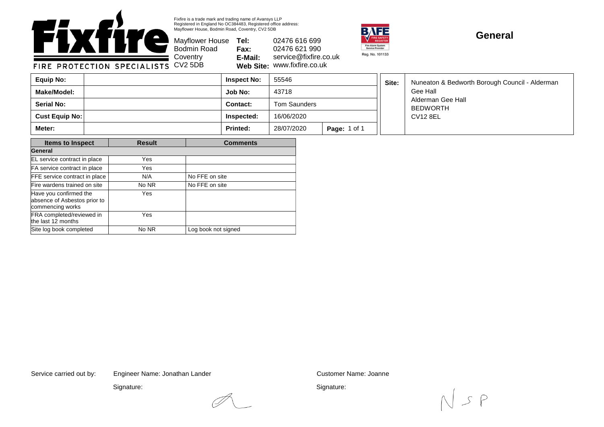

Fixfire is a trade mark and trading name of Avansys LLP Registered in England No OC384483, Registered office address: Mayflower House, Bodmin Road, Coventry, CV2 5DB

Mayflower House **Tel: Fax: E-Mail: Web Site:** www.fixfire.co.uk 02476 616 699 02476 621 990 service@fixfire.co.uk



┓╓

## **General**

**Inspect No:** 55546

Bodmin Road

| Equip No:             | <b>Inspect No:</b> | 55546        |                     | Site: | Nuneaton & Bedworth Borough Council - Alderman   |
|-----------------------|--------------------|--------------|---------------------|-------|--------------------------------------------------|
| Make/Model:           | Job No:            | 43718        |                     |       | Gee Hall<br>Alderman Gee Hall<br><b>BEDWORTH</b> |
| <b>Serial No:</b>     | Contact:           | Tom Saunders |                     |       |                                                  |
| <b>Cust Equip No:</b> | Inspected:         | 16/06/2020   |                     |       | CV12 8EL                                         |
| Meter:                | <b>Printed:</b>    | 28/07/2020   | <b>Page: 1 of 1</b> |       |                                                  |

| <b>Items to Inspect</b>                                                    | <b>Result</b> | <b>Comments</b>     |  |  |
|----------------------------------------------------------------------------|---------------|---------------------|--|--|
| General                                                                    |               |                     |  |  |
| EL service contract in place                                               | Yes           |                     |  |  |
| FA service contract in place                                               | Yes           |                     |  |  |
| FFE service contract in place                                              | N/A           | No FFE on site      |  |  |
| Fire wardens trained on site                                               | No NR         | No FFE on site      |  |  |
| Have you confirmed the<br>absence of Asbestos prior to<br>commencing works | Yes           |                     |  |  |
| FRA completed/reviewed in<br>the last 12 months                            | Yes           |                     |  |  |
| Site log book completed                                                    | No NR         | Log book not signed |  |  |

Service carried out by: Customer Name: Joanne Engineer Name: Jonathan Lander

Signature:

Signature:

 $S$   $P$